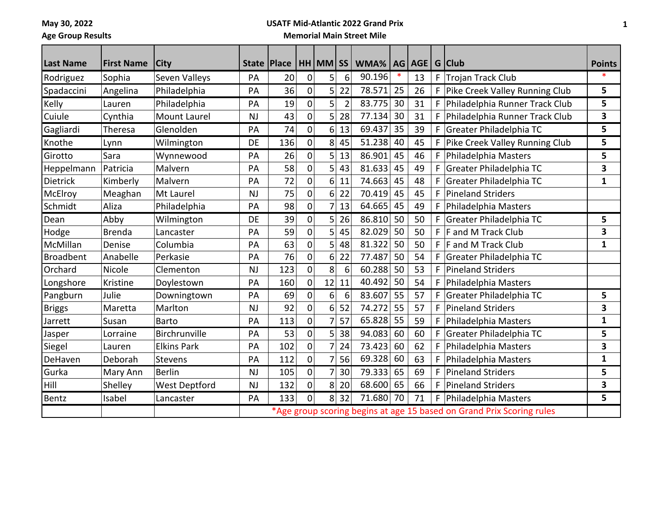**May 30, 2022**

## **USATF Mid-Atlantic 2022 Grand Prix**

**Age Group Results**

## **Memorial Main Street Mile**

| <b>Last Name</b> | <b>First Name</b> | <b>City</b>          |           | State   Place |                | HH MM SS       |                | WMA%   AG   AGE |    |    |    | G Club                                                                | <b>Points</b>           |
|------------------|-------------------|----------------------|-----------|---------------|----------------|----------------|----------------|-----------------|----|----|----|-----------------------------------------------------------------------|-------------------------|
| Rodriguez        | Sophia            | Seven Valleys        | PA        | 20            | 0              | 5              | 6              | 90.196          |    | 13 | F. | Trojan Track Club                                                     |                         |
| Spadaccini       | Angelina          | Philadelphia         | PA        | 36            | $\overline{0}$ | 5              | 22             | 78.571          | 25 | 26 | F  | Pike Creek Valley Running Club                                        | 5                       |
| Kelly            | Lauren            | Philadelphia         | PA        | 19            | $\overline{0}$ | 5              | $\overline{2}$ | 83.775          | 30 | 31 |    | F Philadelphia Runner Track Club                                      | 5                       |
| Cuiule           | Cynthia           | <b>Mount Laurel</b>  | <b>NJ</b> | 43            | $\Omega$       | 5              | 28             | 77.134          | 30 | 31 | F  | Philadelphia Runner Track Club                                        | $\overline{\mathbf{3}}$ |
| Gagliardi        | Theresa           | Glenolden            | PA        | 74            | $\mathbf{0}$   | 6              | 13             | 69.437          | 35 | 39 | F  | Greater Philadelphia TC                                               | 5                       |
| Knothe           | Lynn              | Wilmington           | <b>DE</b> | 136           | $\mathbf{0}$   | 8              | 45             | 51.238          | 40 | 45 |    | F Pike Creek Valley Running Club                                      | 5                       |
| Girotto          | Sara              | Wynnewood            | PA        | 26            | $\mathbf{0}$   | 5              | 13             | 86.901          | 45 | 46 | F. | Philadelphia Masters                                                  | 5                       |
| Heppelmann       | Patricia          | Malvern              | PA        | 58            | $\mathbf 0$    | 5              | 43             | 81.633          | 45 | 49 | F  | Greater Philadelphia TC                                               | 3                       |
| Dietrick         | Kimberly          | Malvern              | PA        | 72            | 0              | 6              | 11             | 74.663          | 45 | 48 |    | Greater Philadelphia TC                                               | 1                       |
| McElroy          | Meaghan           | Mt Laurel            | <b>NJ</b> | 75            | $\mathbf 0$    | 6              | 22             | 70.419          | 45 | 45 | F  | <b>Pineland Striders</b>                                              |                         |
| Schmidt          | Aliza             | Philadelphia         | PA        | 98            | 0              | 7              | 13             | 64.665          | 45 | 49 | F  | Philadelphia Masters                                                  |                         |
| Dean             | Abby              | Wilmington           | DE        | 39            | $\mathbf{0}$   | 5              | 26             | 86.810          | 50 | 50 | F  | Greater Philadelphia TC                                               | 5                       |
| Hodge            | <b>Brenda</b>     | Lancaster            | PA        | 59            | $\Omega$       | 5              | 45             | 82.029          | 50 | 50 | F  | F and M Track Club                                                    | 3                       |
| McMillan         | Denise            | Columbia             | PA        | 63            | $\Omega$       | 5              | 48             | 81.322          | 50 | 50 | F. | F and M Track Club                                                    | $\mathbf{1}$            |
| <b>Broadbent</b> | Anabelle          | Perkasie             | PA        | 76            | $\Omega$       | 6              | 22             | 77.487          | 50 | 54 | F. | Greater Philadelphia TC                                               |                         |
| Orchard          | Nicole            | Clementon            | <b>NJ</b> | 123           | $\Omega$       | 8              | 6              | 60.288          | 50 | 53 | F  | <b>Pineland Striders</b>                                              |                         |
| Longshore        | Kristine          | Doylestown           | PA        | 160           | $\overline{0}$ | 12             | 11             | 40.492          | 50 | 54 | F. | Philadelphia Masters                                                  |                         |
| Pangburn         | Julie             | Downingtown          | PA        | 69            | $\Omega$       | 6              | 6              | 83.607          | 55 | 57 |    | Greater Philadelphia TC                                               | 5                       |
| <b>Briggs</b>    | Maretta           | Marlton              | <b>NJ</b> | 92            | $\mathbf 0$    | 6              | 52             | 74.272          | 55 | 57 | F  | <b>Pineland Striders</b>                                              | 3                       |
| Jarrett          | Susan             | <b>Barto</b>         | PA        | 113           | 0              | 7              | 57             | 65.828          | 55 | 59 | F  | Philadelphia Masters                                                  | $\mathbf{1}$            |
| Jasper           | Lorraine          | Birchrunville        | PA        | 53            | $\mathbf 0$    | 5              | 38             | 94.083          | 60 | 60 | F. | Greater Philadelphia TC                                               | 5                       |
| Siegel           | Lauren            | <b>Elkins Park</b>   | PA        | 102           | 0              | 7              | 24             | 73.423          | 60 | 62 | F  | Philadelphia Masters                                                  | 3                       |
| DeHaven          | Deborah           | Stevens              | PA        | 112           | $\Omega$       | 7              | 56             | 69.328          | 60 | 63 | F  | Philadelphia Masters                                                  | $\mathbf{1}$            |
| Gurka            | Mary Ann          | <b>Berlin</b>        | <b>NJ</b> | 105           | $\mathbf 0$    | $\overline{7}$ | 30             | 79.333          | 65 | 69 | F  | <b>Pineland Striders</b>                                              | 5                       |
| <b>Hill</b>      | Shelley           | <b>West Deptford</b> | <b>NJ</b> | 132           | $\Omega$       | 8              | 20             | 68.600 65       |    | 66 | F  | <b>Pineland Striders</b>                                              | 3                       |
| Bentz            | Isabel            | Lancaster            | PA        | 133           | $\mathbf{0}$   |                | 8 32           | 71.680          | 70 | 71 |    | F   Philadelphia Masters                                              | 5                       |
|                  |                   |                      |           |               |                |                |                |                 |    |    |    | *Age group scoring begins at age 15 based on Grand Prix Scoring rules |                         |